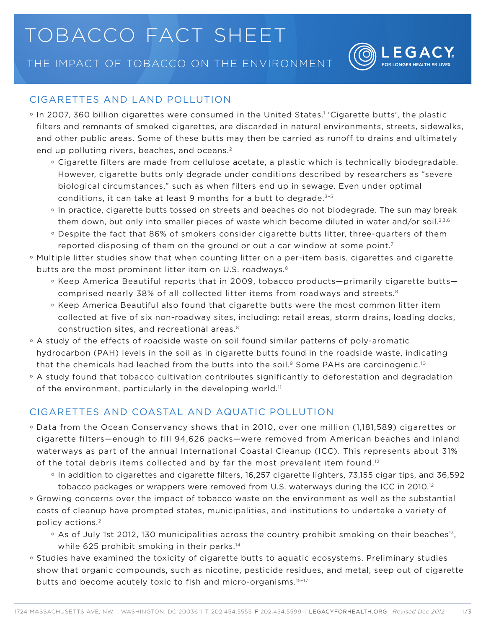## tobacco fact sheet

The Impact of Tobacco on the Environment



## Cigarettes and Land Pollution

- $\circ$  In 2007, 360 billion cigarettes were consumed in the United States.1 'Cigarette butts', the plastic filters and remnants of smoked cigarettes, are discarded in natural environments, streets, sidewalks, and other public areas. Some of these butts may then be carried as runoff to drains and ultimately end up polluting rivers, beaches, and oceans.2
	- ° Cigarette filters are made from cellulose acetate, a plastic which is technically biodegradable. However, cigarette butts only degrade under conditions described by researchers as "severe biological circumstances," such as when filters end up in sewage. Even under optimal conditions, it can take at least 9 months for a butt to degrade. $3-5$
	- ° In practice, cigarette butts tossed on streets and beaches do not biodegrade. The sun may break them down, but only into smaller pieces of waste which become diluted in water and/or soil.<sup>2,3,6</sup>
	- ° Despite the fact that 86% of smokers consider cigarette butts litter, three-quarters of them reported disposing of them on the ground or out a car window at some point.<sup>7</sup>
- ° Multiple litter studies show that when counting litter on a per-item basis, cigarettes and cigarette butts are the most prominent litter item on U.S. roadways.<sup>8</sup>
	- ° Keep America Beautiful reports that in 2009, tobacco products—primarily cigarette butts comprised nearly 38% of all collected litter items from roadways and streets.8
	- ° Keep America Beautiful also found that cigarette butts were the most common litter item collected at five of six non-roadway sites, including: retail areas, storm drains, loading docks, construction sites, and recreational areas.8
- ° A study of the effects of roadside waste on soil found similar patterns of poly-aromatic hydrocarbon (PAH) levels in the soil as in cigarette butts found in the roadside waste, indicating that the chemicals had leached from the butts into the soil.<sup>9</sup> Some PAHs are carcinogenic.<sup>10</sup>
- ° A study found that tobacco cultivation contributes significantly to deforestation and degradation of the environment, particularly in the developing world.<sup>11</sup>

## Cigarettes and Coastal and Aquatic Pollution

- ° Data from the Ocean Conservancy shows that in 2010, over one million (1,181,589) cigarettes or cigarette filters—enough to fill 94,626 packs—were removed from American beaches and inland waterways as part of the annual International Coastal Cleanup (ICC). This represents about 31% of the total debris items collected and by far the most prevalent item found.<sup>12</sup>
	- ° In addition to cigarettes and cigarette filters, 16,257 cigarette lighters, 73,155 cigar tips, and 36,592 tobacco packages or wrappers were removed from U.S. waterways during the ICC in 2010.<sup>12</sup>
- ° Growing concerns over the impact of tobacco waste on the environment as well as the substantial costs of cleanup have prompted states, municipalities, and institutions to undertake a variety of policy actions.<sup>2</sup>
	- <sup>o</sup> As of July 1st 2012, 130 municipalities across the country prohibit smoking on their beaches<sup>13</sup>, while 625 prohibit smoking in their parks.<sup>14</sup>
- ° Studies have examined the toxicity of cigarette butts to aquatic ecosystems. Preliminary studies show that organic compounds, such as nicotine, pesticide residues, and metal, seep out of cigarette butts and become acutely toxic to fish and micro-organisms.15–17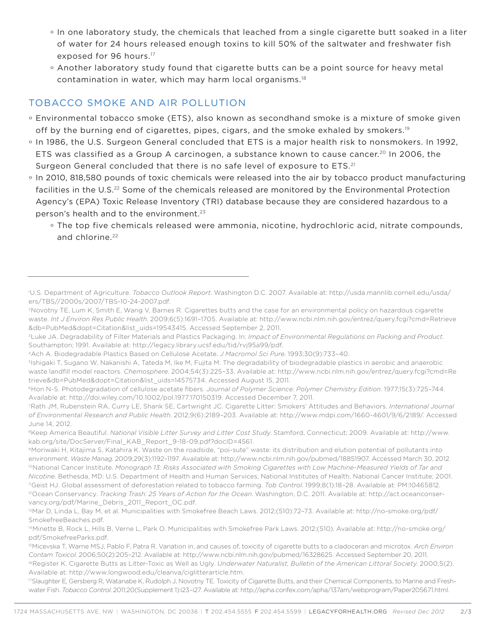- ° In one laboratory study, the chemicals that leached from a single cigarette butt soaked in a liter of water for 24 hours released enough toxins to kill 50% of the saltwater and freshwater fish exposed for 96 hours.<sup>17</sup>
- ° Another laboratory study found that cigarette butts can be a point source for heavy metal contamination in water, which may harm local organisms.<sup>18</sup>

## Tobacco Smoke and Air Pollution

- ° Environmental tobacco smoke (ETS), also known as secondhand smoke is a mixture of smoke given off by the burning end of cigarettes, pipes, cigars, and the smoke exhaled by smokers.<sup>19</sup>
- ° In 1986, the U.S. Surgeon General concluded that ETS is a major health risk to nonsmokers. In 1992, ETS was classified as a Group A carcinogen, a substance known to cause cancer.<sup>20</sup> In 2006, the Surgeon General concluded that there is no safe level of exposure to ETS.<sup>21</sup>
- ° In 2010, 818,580 pounds of toxic chemicals were released into the air by tobacco product manufacturing facilities in the U.S.<sup>22</sup> Some of the chemicals released are monitored by the Environmental Protection Agency's (EPA) Toxic Release Inventory (TRI) database because they are considered hazardous to a person's health and to the environment.<sup>23</sup>
	- ° The top five chemicals released were ammonia, nicotine, hydrochloric acid, nitrate compounds, and chlorine.<sup>22</sup>

<sup>1</sup> U.S. Department of Agriculture. *Tobacco Outlook Report*. Washington D.C. 2007. Available at: http://usda.mannlib.cornell.edu/usda/ ers/TBS//2000s/2007/TBS-10-24-2007.pdf.

<sup>2</sup>Novotny TE, Lum K, Smith E, Wang V, Barnes R. Cigarettes butts and the case for an environmental policy on hazardous cigarette waste. *Int J Environ Res Public Health*. 2009;6(5):1691–1705. Available at: http://www.ncbi.nlm.nih.gov/entrez/query.fcgi?cmd=Retrieve &db=PubMed&dopt=Citation&list\_uids=19543415. Accessed September 2, 2011.

<sup>3</sup>Luke JA. Degradability of Filter Materials and Plastics Packaging. In: *Impact of Environmental Regulations on Packing and Product*. Southampton; 1991. Available at: http://legacy.library.ucsf.edu/tid/rvj95a99/pdf.

<sup>4</sup>Ach A. Biodegradable Plastics Based on Cellulose Acetate. *J Macromol Sci Pure*. 1993;30(9):733–40.

<sup>5</sup>Ishigaki T, Sugano W, Nakanishi A, Tateda M, Ike M, Fujita M. The degradability of biodegradable plastics in aerobic and anaerobic waste landfill model reactors. *Chemosphere*. 2004;54(3):225–33. Available at: http://www.ncbi.nlm.nih.gov/entrez/query.fcgi?cmd=Re trieve&db=PubMed&dopt=Citation&list\_uids=14575734. Accessed August 15, 2011.

<sup>6</sup>Hon N-S. Photodegradation of cellulose acetate fibers. *Journal of Polymer Science: Polymer Chemistry Edition*. 1977;15(3):725–744. Available at: http://doi.wiley.com/10.1002/pol.1977.170150319. Accessed December 7, 2011.

<sup>7</sup>Rath JM, Rubenstein RA, Curry LE, Shank SE, Cartwright JC. Cigarette Litter: Smokers' Attitudes and Behaviors. *International Journal of Environmental Research and Public Health*. 2012;9(6):2189–203. Available at: http://www.mdpi.com/1660-4601/9/6/2189/. Accessed June 14, 2012.

<sup>8</sup>Keep America Beautiful. *National Visible Litter Survey and Litter Cost Study*. Stamford, Connecticut; 2009. Available at: http://www. kab.org/site/DocServer/Final\_KAB\_Report\_9-18-09.pdf?docID=4561.

<sup>9</sup>Moriwaki H, Kitajima S, Katahira K. Waste on the roadside, "poi-sute" waste: its distribution and elution potential of pollutants into environment. *Waste Manag*. 2009;29(3):1192–1197. Available at: http://www.ncbi.nlm.nih.gov/pubmed/18851907. Accessed March 30, 2012. 10National Cancer Institute. *Monograph 13: Risks Associated with Smoking Cigarettes with Low Machine-Measured Yields of Tar and Nicotine*. Bethesda, MD: U.S. Department of Health and Human Services, National Institutes of Health, National Cancer Institute; 2001. 11Geist HJ. Global assessment of deforestation related to tobacco farming. *Tob Control*. 1999;8(1):18–28. Available at: PM:10465812. 12Ocean Conservancy. *Tracking Trash: 25 Years of Action for the Ocean*. Washington, D.C. 2011. Available at: http://act.oceanconservancy.org/pdf/Marine\_Debris\_2011\_Report\_OC.pdf.

<sup>13</sup>Mar D, Linda L, Bay M, et al. Municipalities with Smokefree Beach Laws. 2012;(510):72–73. Available at: http://no-smoke.org/pdf/ SmokefreeBeaches.pdf.

<sup>14</sup>Minette B, Rock L, Hills B, Verne L, Park O. Municipalities with Smokefree Park Laws. 2012;(510). Available at: http://no-smoke.org/ pdf/SmokefreeParks.pdf.

<sup>15</sup>Micevska T, Warne MSJ, Pablo F, Patra R. Variation in, and causes of, toxicity of cigarette butts to a cladoceran and microtox. *Arch Environ Contam Toxicol*. 2006;50(2):205–212. Available at: http://www.ncbi.nlm.nih.gov/pubmed/16328625. Accessed September 20, 2011. <sup>16</sup>Register K. Cigarette Butts as Litter-Toxic as Well as Ugly. *Underwater Naturalist, Bulletin of the American Littoral Society*. 2000;5(2). Available at: http://www.longwood.edu/cleanva/ciglitterarticle.htm.

<sup>&</sup>lt;sup>17</sup>Slaughter E, Gersberg R, Watanabe K, Rudolph J, Novotny TE. Toxicity of Cigarette Butts, and their Chemical Components, to Marine and Freshwater Fish. *Tobacco Control*. 2011;20(Supplement 1):i23–i27. Available at: http://apha.confex.com/apha/137am/webprogram/Paper205671.html.